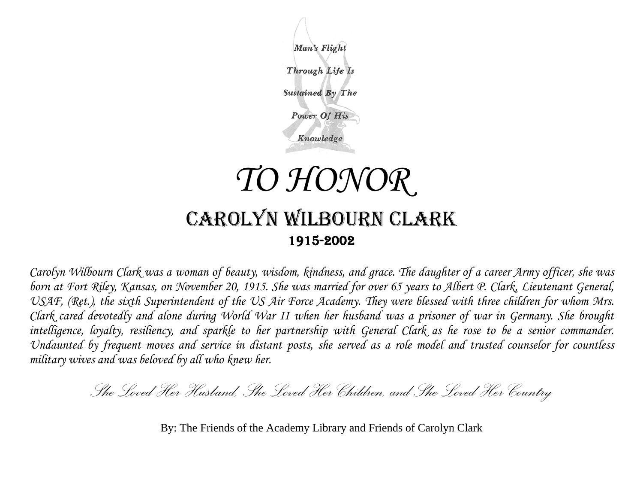

## CAROLYN WILBOURN CLARK 1915-2002

*Carolyn Wilbourn Clark was a woman of beauty, wisdom, kindness, and grace. The daughter of a career Army officer, she was born at Fort Riley, Kansas, on November 20, 1915. She was married for over 65 years to Albert P. Clark, Lieutenant General,*  USAF, (Ret.), the sixth Superintendent of the US Air Force Academy. They were blessed with three children for whom Mrs. *Clark cared devotedly and alone during World War II when her husband was a prisoner of war in Germany. She brought intelligence, loyalty, resiliency, and sparkle to her partnership with General Clark as he rose to be a senior commander. Undaunted by frequent moves and service in distant posts, she served as a role model and trusted counselor for countless military wives and was beloved by all who knew her.* 

*She Loved Her Husband, She Loved Her Children, and She Loved Her Country* 

By: The Friends of the Academy Library and Friends of Carolyn Clark